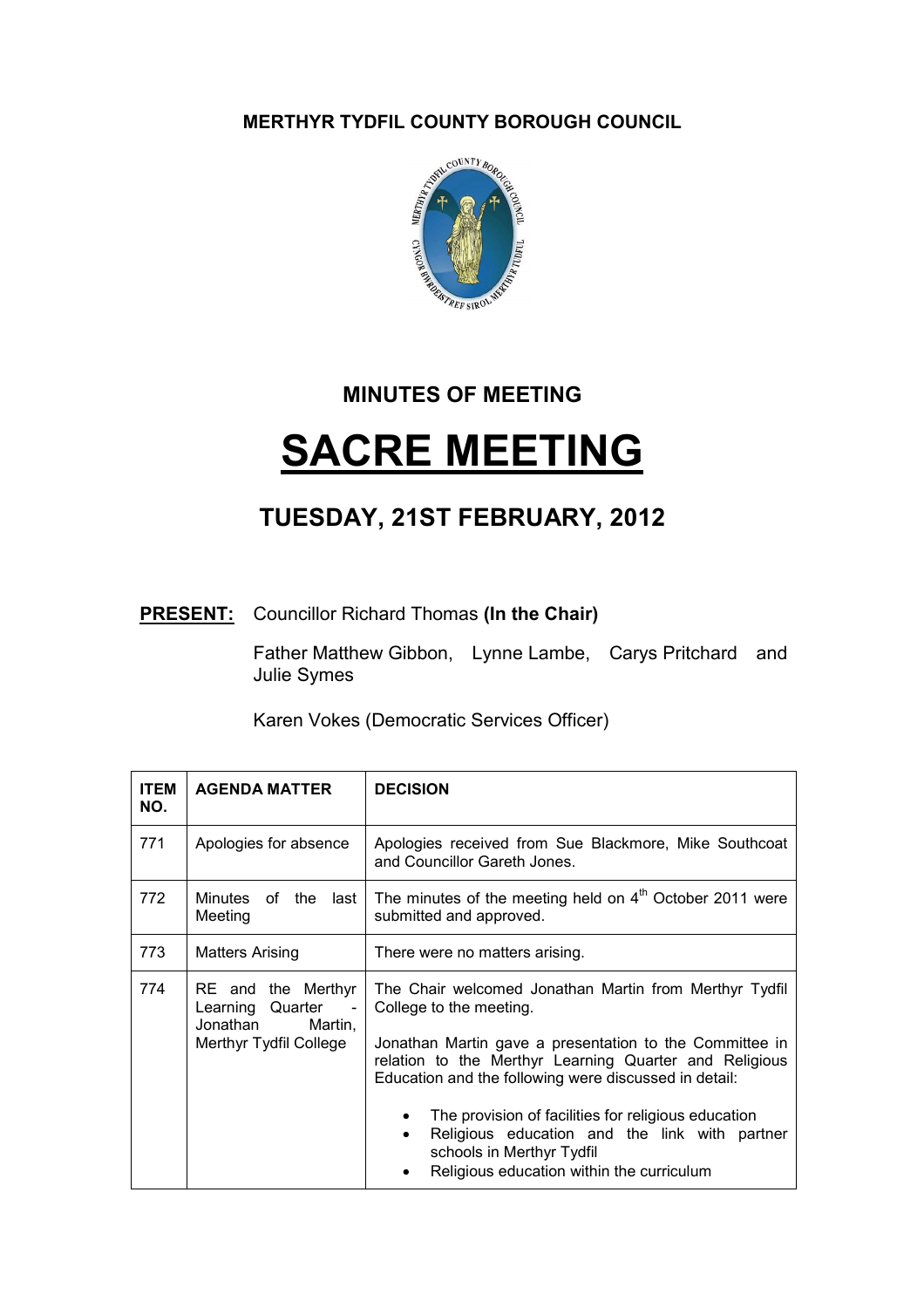MERTHYR TYDFIL COUNTY BOROUGH COUNCIL



## MINUTES OF MEETING

## SACRE MEETING

## TUESDAY, 21ST FEBRUARY, 2012

## **PRESENT:** Councillor Richard Thomas (In the Chair)

Father Matthew Gibbon, Lynne Lambe, Carys Pritchard and Julie Symes

Karen Vokes (Democratic Services Officer)

| <b>ITEM</b><br>NO. | <b>AGENDA MATTER</b>                                                                    | <b>DECISION</b>                                                                                                                                                                |
|--------------------|-----------------------------------------------------------------------------------------|--------------------------------------------------------------------------------------------------------------------------------------------------------------------------------|
| 771                | Apologies for absence                                                                   | Apologies received from Sue Blackmore, Mike Southcoat<br>and Councillor Gareth Jones.                                                                                          |
| 772                | Minutes of the<br>last<br>Meeting                                                       | The minutes of the meeting held on $4th$ October 2011 were<br>submitted and approved.                                                                                          |
| 773                | <b>Matters Arising</b>                                                                  | There were no matters arising.                                                                                                                                                 |
| 774                | RE and the Merthyr<br>Learning Quarter<br>Jonathan<br>Martin,<br>Merthyr Tydfil College | The Chair welcomed Jonathan Martin from Merthyr Tydfil<br>College to the meeting.                                                                                              |
|                    |                                                                                         | Jonathan Martin gave a presentation to the Committee in<br>relation to the Merthyr Learning Quarter and Religious<br>Education and the following were discussed in detail:     |
|                    |                                                                                         | The provision of facilities for religious education<br>Religious education and the link with partner<br>schools in Merthyr Tydfil<br>Religious education within the curriculum |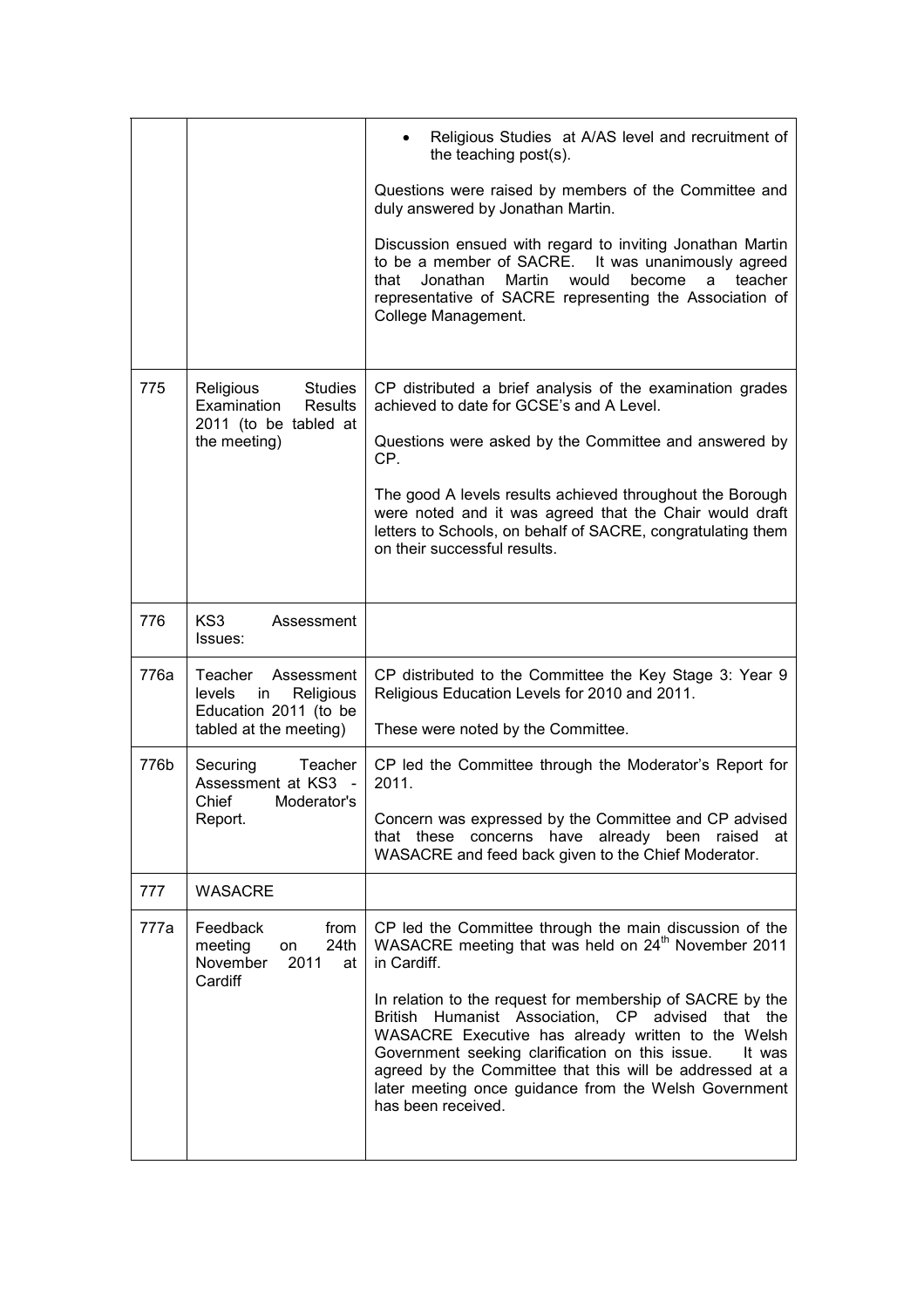|                                                                                                       | Religious Studies at A/AS level and recruitment of<br>the teaching post(s).                                                                                                                                                                                                                                                                                                            |
|-------------------------------------------------------------------------------------------------------|----------------------------------------------------------------------------------------------------------------------------------------------------------------------------------------------------------------------------------------------------------------------------------------------------------------------------------------------------------------------------------------|
|                                                                                                       | Questions were raised by members of the Committee and<br>duly answered by Jonathan Martin.                                                                                                                                                                                                                                                                                             |
|                                                                                                       | Discussion ensued with regard to inviting Jonathan Martin<br>to be a member of SACRE. It was unanimously agreed<br>teacher<br>that<br>Jonathan<br>Martin<br>would<br>become<br>a<br>representative of SACRE representing the Association of<br>College Management.                                                                                                                     |
| <b>Studies</b><br>Religious<br>Examination<br><b>Results</b><br>2011 (to be tabled at<br>the meeting) | CP distributed a brief analysis of the examination grades<br>achieved to date for GCSE's and A Level.                                                                                                                                                                                                                                                                                  |
|                                                                                                       | Questions were asked by the Committee and answered by<br>CP.                                                                                                                                                                                                                                                                                                                           |
|                                                                                                       | The good A levels results achieved throughout the Borough<br>were noted and it was agreed that the Chair would draft<br>letters to Schools, on behalf of SACRE, congratulating them<br>on their successful results.                                                                                                                                                                    |
| KS3<br>Assessment<br>Issues:                                                                          |                                                                                                                                                                                                                                                                                                                                                                                        |
| Teacher<br>Assessment<br>Religious<br>levels<br>in<br>Education 2011 (to be                           | CP distributed to the Committee the Key Stage 3: Year 9<br>Religious Education Levels for 2010 and 2011.<br>These were noted by the Committee.                                                                                                                                                                                                                                         |
| Securing<br>Teacher<br>Assessment at KS3<br>Chief<br>Moderator's<br>Report.                           | CP led the Committee through the Moderator's Report for                                                                                                                                                                                                                                                                                                                                |
|                                                                                                       | 2011.<br>Concern was expressed by the Committee and CP advised<br>these<br>concerns<br>have<br>already been raised<br>that<br>at<br>WASACRE and feed back given to the Chief Moderator.                                                                                                                                                                                                |
| <b>WASACRE</b>                                                                                        |                                                                                                                                                                                                                                                                                                                                                                                        |
| Feedback<br>from<br>24th<br>meeting<br>on<br>2011<br>November<br>at<br>Cardiff                        | CP led the Committee through the main discussion of the<br>WASACRE meeting that was held on 24 <sup>th</sup> November 2011<br>in Cardiff.                                                                                                                                                                                                                                              |
|                                                                                                       | In relation to the request for membership of SACRE by the<br>Humanist Association, CP advised that the<br><b>British</b><br>WASACRE Executive has already written to the Welsh<br>Government seeking clarification on this issue.<br>It was<br>agreed by the Committee that this will be addressed at a<br>later meeting once guidance from the Welsh Government<br>has been received. |
|                                                                                                       | tabled at the meeting)                                                                                                                                                                                                                                                                                                                                                                 |